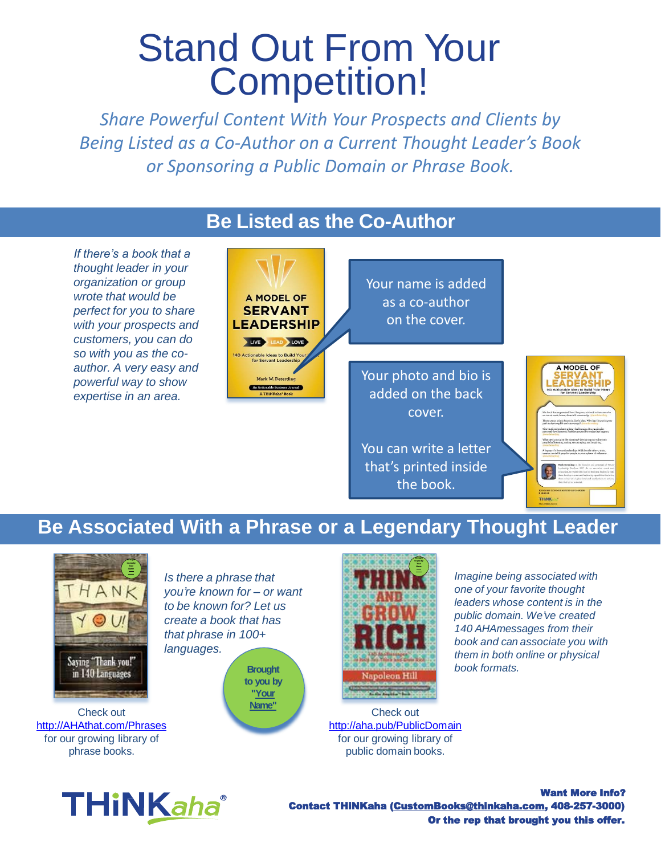# Stand Out From Your Competition!

*Share Powerful Content With Your Prospects and Clients by Being Listed as a Co-Author on a Current Thought Leader's Book or Sponsoring a Public Domain or Phrase Book.* 

#### **Be Listed as the Co-Author**

*If there's a book that a thought leader in your organization or group wrote that would be perfect for you to share with your prospects and customers, you can do so with you as the coauthor. A very easy and powerful way to show expertise in an area.* 

A MODEL OF **SERVANT LEADERSHIP** LIVE LEAD LOVE nable Ideas to Build Ye<br>for Servant Leadership Mark W. Deterdi

Your name is added as a co-author on the cover.

Your photo and bio is added on the back cover.

You can write a letter that's printed inside the book.



## **Be Associated With a Phrase or a Legendary Thought Leader**



Check out [http://AHAthat.com/Phrases](http://ahathat.com/Phrases) for our growing library of phrase books.



*Is there a phrase that you're known for – or want to be known for? Let us create a book that has that phrase in 100+ languages.*

> **to you by "Your Name"**



Check out <http://aha.pub/PublicDomain> for our growing library of public domain books.

*Imagine being associated with one of your favorite thought leaders whose content is in the public domain. We've created 140 AHAmessages from their book and can associate you with them in both online or physical*

Want More Info? Contact THiNKaha (CustomBooks@thinkaha.com, 408-257-3000) Or the rep that brought you this offer.